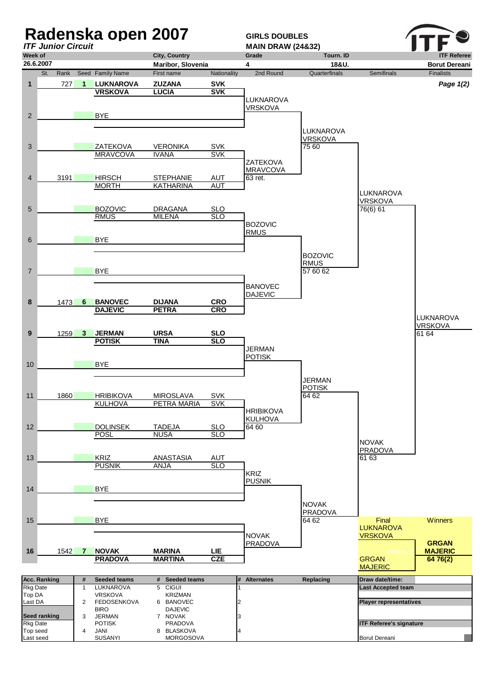